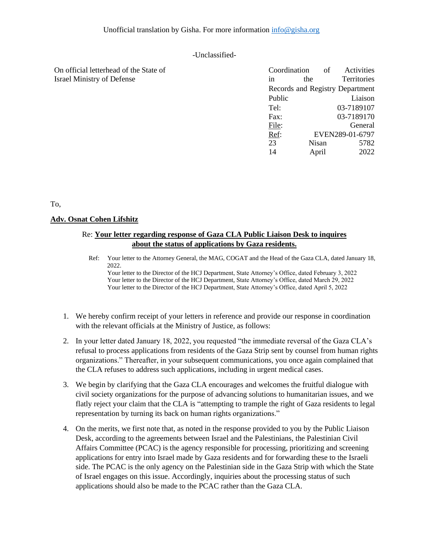## -Unclassified-

| On official letterhead of the State of | Coordination                    |       | of | Activities         |
|----------------------------------------|---------------------------------|-------|----|--------------------|
| <b>Israel Ministry of Defense</b>      | 1n                              | the   |    | <b>Territories</b> |
|                                        | Records and Registry Department |       |    |                    |
|                                        | Public                          |       |    | Liaison            |
|                                        | Tel:                            |       |    | 03-7189107         |
|                                        | Fax:                            |       |    | 03-7189170         |
|                                        | File:                           |       |    | General            |
|                                        | Ref:                            |       |    | EVEN289-01-6797    |
|                                        | 23                              | Nisan |    | 5782               |
|                                        | 14                              | April |    | 2022               |

To,

## **Adv. Osnat Cohen Lifshitz**

## Re: **Your letter regarding response of Gaza CLA Public Liaison Desk to inquires about the status of applications by Gaza residents.**

- Ref: Your letter to the Attorney General, the MAG, COGAT and the Head of the Gaza CLA, dated January 18, 2022. Your letter to the Director of the HCJ Department, State Attorney's Office, dated February 3, 2022 Your letter to the Director of the HCJ Department, State Attorney's Office, dated March 29, 2022 Your letter to the Director of the HCJ Department, State Attorney's Office, dated April 5, 2022
- 1. We hereby confirm receipt of your letters in reference and provide our response in coordination with the relevant officials at the Ministry of Justice, as follows:
- 2. In your letter dated January 18, 2022, you requested "the immediate reversal of the Gaza CLA's refusal to process applications from residents of the Gaza Strip sent by counsel from human rights organizations." Thereafter, in your subsequent communications, you once again complained that the CLA refuses to address such applications, including in urgent medical cases.
- 3. We begin by clarifying that the Gaza CLA encourages and welcomes the fruitful dialogue with civil society organizations for the purpose of advancing solutions to humanitarian issues, and we flatly reject your claim that the CLA is "attempting to trample the right of Gaza residents to legal representation by turning its back on human rights organizations."
- 4. On the merits, we first note that, as noted in the response provided to you by the Public Liaison Desk, according to the agreements between Israel and the Palestinians, the Palestinian Civil Affairs Committee (PCAC) is the agency responsible for processing, prioritizing and screening applications for entry into Israel made by Gaza residents and for forwarding these to the Israeli side. The PCAC is the only agency on the Palestinian side in the Gaza Strip with which the State of Israel engages on this issue. Accordingly, inquiries about the processing status of such applications should also be made to the PCAC rather than the Gaza CLA.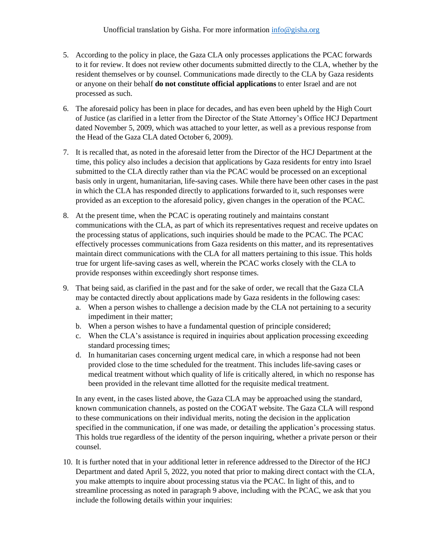- 5. According to the policy in place, the Gaza CLA only processes applications the PCAC forwards to it for review. It does not review other documents submitted directly to the CLA, whether by the resident themselves or by counsel. Communications made directly to the CLA by Gaza residents or anyone on their behalf **do not constitute official applications** to enter Israel and are not processed as such.
- 6. The aforesaid policy has been in place for decades, and has even been upheld by the High Court of Justice (as clarified in a letter from the Director of the State Attorney's Office HCJ Department dated November 5, 2009, which was attached to your letter, as well as a previous response from the Head of the Gaza CLA dated October 6, 2009).
- 7. It is recalled that, as noted in the aforesaid letter from the Director of the HCJ Department at the time, this policy also includes a decision that applications by Gaza residents for entry into Israel submitted to the CLA directly rather than via the PCAC would be processed on an exceptional basis only in urgent, humanitarian, life-saving cases. While there have been other cases in the past in which the CLA has responded directly to applications forwarded to it, such responses were provided as an exception to the aforesaid policy, given changes in the operation of the PCAC.
- 8. At the present time, when the PCAC is operating routinely and maintains constant communications with the CLA, as part of which its representatives request and receive updates on the processing status of applications, such inquiries should be made to the PCAC. The PCAC effectively processes communications from Gaza residents on this matter, and its representatives maintain direct communications with the CLA for all matters pertaining to this issue. This holds true for urgent life-saving cases as well, wherein the PCAC works closely with the CLA to provide responses within exceedingly short response times.
- 9. That being said, as clarified in the past and for the sake of order, we recall that the Gaza CLA may be contacted directly about applications made by Gaza residents in the following cases:
	- a. When a person wishes to challenge a decision made by the CLA not pertaining to a security impediment in their matter;
	- b. When a person wishes to have a fundamental question of principle considered;
	- c. When the CLA's assistance is required in inquiries about application processing exceeding standard processing times;
	- d. In humanitarian cases concerning urgent medical care, in which a response had not been provided close to the time scheduled for the treatment. This includes life-saving cases or medical treatment without which quality of life is critically altered, in which no response has been provided in the relevant time allotted for the requisite medical treatment.

In any event, in the cases listed above, the Gaza CLA may be approached using the standard, known communication channels, as posted on the COGAT website. The Gaza CLA will respond to these communications on their individual merits, noting the decision in the application specified in the communication, if one was made, or detailing the application's processing status. This holds true regardless of the identity of the person inquiring, whether a private person or their counsel.

10. It is further noted that in your additional letter in reference addressed to the Director of the HCJ Department and dated April 5, 2022, you noted that prior to making direct contact with the CLA, you make attempts to inquire about processing status via the PCAC. In light of this, and to streamline processing as noted in paragraph 9 above, including with the PCAC, we ask that you include the following details within your inquiries: